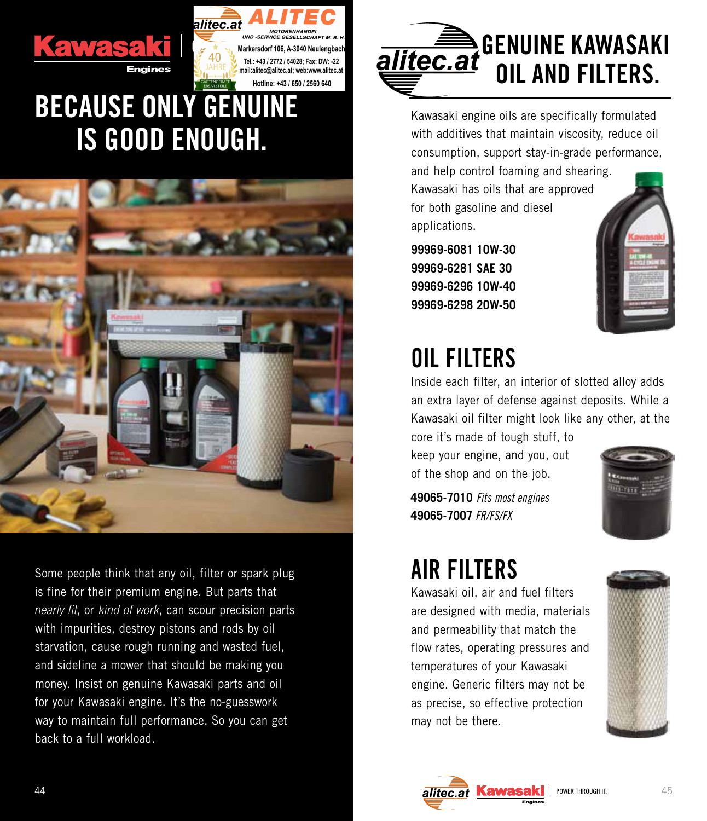



# **BECAUSE ONLY GENUINE IS GOOD ENOUGH.**



Some people think that any oil, filter or spark plug is fine for their premium engine. But parts that nearly fit, or kind of work, can scour precision parts with impurities, destroy pistons and rods by oil starvation, cause rough running and wasted fuel, and sideline a mower that should be making you money. Insist on genuine Kawasaki parts and oil for your Kawasaki engine. It's the no-guesswork way to maintain full performance. So you can get back to a full workload.



Kawasaki engine oils are specifically formulated with additives that maintain viscosity, reduce oil consumption, support stay-in-grade performance,

and help control foaming and shearing. Kawasaki has oils that are approved for both gasoline and diesel applications.

99969-6081 10W-30 99969-6281 SAE 30 99969-6296 10W-40 99969-6298 20W-50



## **OIL FILTERS**

Inside each filter, an interior of slotted alloy adds an extra layer of defense against deposits. While a Kawasaki oil filter might look like any other, at the core it's made of tough stuff, to

keep your engine, and you, out of the shop and on the job.

**49065-7010** Fits most engines **49065-7007 FR/FS/FX** 



#### **AIR FILTERS**

Kawasaki oil, air and fuel filters are designed with media, materials and permeability that match the flow rates, operating pressures and temperatures of your Kawasaki engine. Generic filters may not be as precise, so effective protection may not be there.